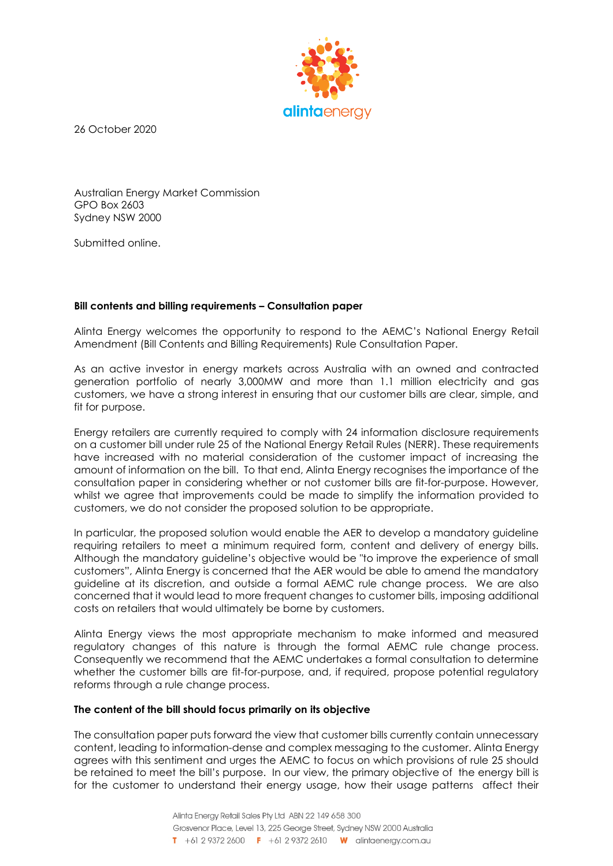

26 October 2020

Australian Energy Market Commission GPO Box 2603 Sydney NSW 2000

Submitted online.

## **Bill contents and billing requirements – Consultation paper**

Alinta Energy welcomes the opportunity to respond to the AEMC's National Energy Retail Amendment (Bill Contents and Billing Requirements) Rule Consultation Paper.

As an active investor in energy markets across Australia with an owned and contracted generation portfolio of nearly 3,000MW and more than 1.1 million electricity and gas customers, we have a strong interest in ensuring that our customer bills are clear, simple, and fit for purpose.

Energy retailers are currently required to comply with 24 information disclosure requirements on a customer bill under rule 25 of the National Energy Retail Rules (NERR). These requirements have increased with no material consideration of the customer impact of increasing the amount of information on the bill. To that end, Alinta Energy recognises the importance of the consultation paper in considering whether or not customer bills are fit-for-purpose. However, whilst we agree that improvements could be made to simplify the information provided to customers, we do not consider the proposed solution to be appropriate.

In particular, the proposed solution would enable the AER to develop a mandatory guideline requiring retailers to meet a minimum required form, content and delivery of energy bills. Although the mandatory guideline's objective would be "to improve the experience of small customers", Alinta Energy is concerned that the AER would be able to amend the mandatory guideline at its discretion, and outside a formal AEMC rule change process. We are also concerned that it would lead to more frequent changes to customer bills, imposing additional costs on retailers that would ultimately be borne by customers.

Alinta Energy views the most appropriate mechanism to make informed and measured regulatory changes of this nature is through the formal AEMC rule change process. Consequently we recommend that the AEMC undertakes a formal consultation to determine whether the customer bills are fit-for-purpose, and, if required, propose potential regulatory reforms through a rule change process.

## **The content of the bill should focus primarily on its objective**

The consultation paper puts forward the view that customer bills currently contain unnecessary content, leading to information-dense and complex messaging to the customer. Alinta Energy agrees with this sentiment and urges the AEMC to focus on which provisions of rule 25 should be retained to meet the bill's purpose. In our view, the primary objective of the energy bill is for the customer to understand their energy usage, how their usage patterns affect their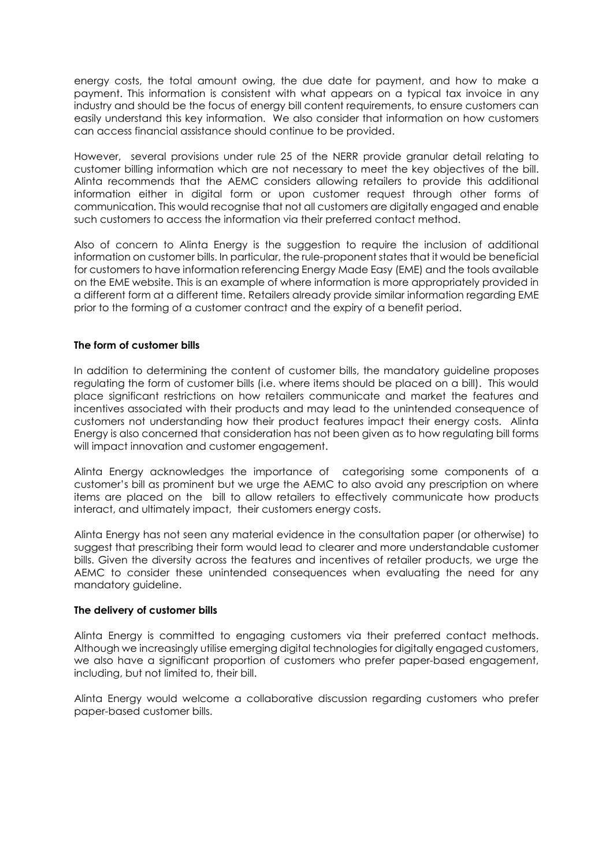energy costs, the total amount owing, the due date for payment, and how to make a payment. This information is consistent with what appears on a typical tax invoice in any industry and should be the focus of energy bill content requirements, to ensure customers can easily understand this key information. We also consider that information on how customers can access financial assistance should continue to be provided.

However, several provisions under rule 25 of the NERR provide granular detail relating to customer billing information which are not necessary to meet the key objectives of the bill. Alinta recommends that the AEMC considers allowing retailers to provide this additional information either in digital form or upon customer request through other forms of communication. This would recognise that not all customers are digitally engaged and enable such customers to access the information via their preferred contact method.

Also of concern to Alinta Energy is the suggestion to require the inclusion of additional information on customer bills. In particular, the rule-proponent states that it would be beneficial for customers to have information referencing Energy Made Easy (EME) and the tools available on the EME website. This is an example of where information is more appropriately provided in a different form at a different time. Retailers already provide similar information regarding EME prior to the forming of a customer contract and the expiry of a benefit period.

# **The form of customer bills**

In addition to determining the content of customer bills, the mandatory guideline proposes regulating the form of customer bills (i.e. where items should be placed on a bill). This would place significant restrictions on how retailers communicate and market the features and incentives associated with their products and may lead to the unintended consequence of customers not understanding how their product features impact their energy costs. Alinta Energy is also concerned that consideration has not been given as to how regulating bill forms will impact innovation and customer engagement.

Alinta Energy acknowledges the importance of categorising some components of a customer's bill as prominent but we urge the AEMC to also avoid any prescription on where items are placed on the bill to allow retailers to effectively communicate how products interact, and ultimately impact, their customers energy costs.

Alinta Energy has not seen any material evidence in the consultation paper (or otherwise) to suggest that prescribing their form would lead to clearer and more understandable customer bills. Given the diversity across the features and incentives of retailer products, we urge the AEMC to consider these unintended consequences when evaluating the need for any mandatory guideline.

## **The delivery of customer bills**

Alinta Energy is committed to engaging customers via their preferred contact methods. Although we increasingly utilise emerging digital technologies for digitally engaged customers, we also have a significant proportion of customers who prefer paper-based engagement, including, but not limited to, their bill.

Alinta Energy would welcome a collaborative discussion regarding customers who prefer paper-based customer bills.